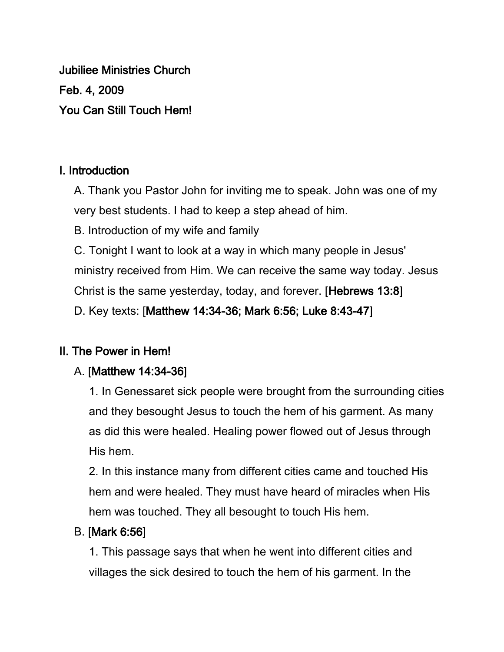Jubiliee Ministries Church Feb. 4, 2009 You Can Still Touch Hem!

## I. Introduction

A. Thank you Pastor John for inviting me to speak. John was one of my very best students. I had to keep a step ahead of him.

B. Introduction of my wife and family

C. Tonight I want to look at a way in which many people in Jesus' ministry received from Him. We can receive the same way today. Jesus Christ is the same yesterday, today, and forever. [Hebrews 13:8]

D. Key texts: [Matthew 14:34-36; Mark 6:56; Luke 8:43-47]

# II. The Power in Hem!

# A. [Matthew 14:34-36]

1. In Genessaret sick people were brought from the surrounding cities and they besought Jesus to touch the hem of his garment. As many as did this were healed. Healing power flowed out of Jesus through His hem.

2. In this instance many from different cities came and touched His hem and were healed. They must have heard of miracles when His hem was touched. They all besought to touch His hem.

### B. [Mark 6:56]

1. This passage says that when he went into different cities and villages the sick desired to touch the hem of his garment. In the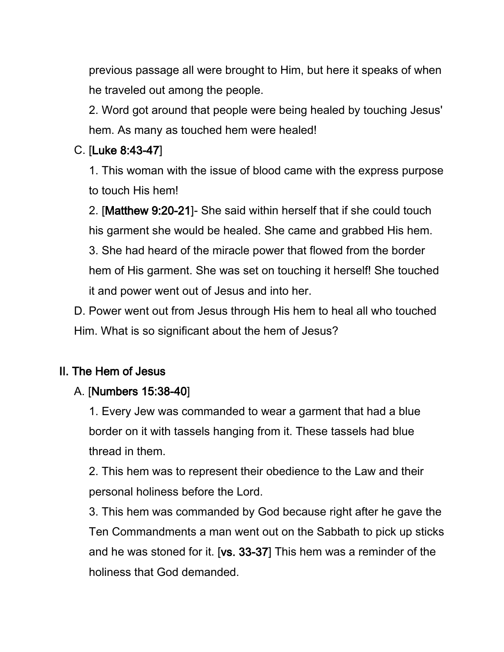previous passage all were brought to Him, but here it speaks of when he traveled out among the people.

2. Word got around that people were being healed by touching Jesus' hem. As many as touched hem were healed!

### C. [Luke 8:43-47]

1. This woman with the issue of blood came with the express purpose to touch His hem!

2. [Matthew 9:20-21]- She said within herself that if she could touch his garment she would be healed. She came and grabbed His hem. 3. She had heard of the miracle power that flowed from the border hem of His garment. She was set on touching it herself! She touched it and power went out of Jesus and into her.

D. Power went out from Jesus through His hem to heal all who touched Him. What is so significant about the hem of Jesus?

### II. The Hem of Jesus

#### A. [Numbers 15:38-40]

1. Every Jew was commanded to wear a garment that had a blue border on it with tassels hanging from it. These tassels had blue thread in them.

2. This hem was to represent their obedience to the Law and their personal holiness before the Lord.

3. This hem was commanded by God because right after he gave the Ten Commandments a man went out on the Sabbath to pick up sticks and he was stoned for it. [vs. 33-37] This hem was a reminder of the holiness that God demanded.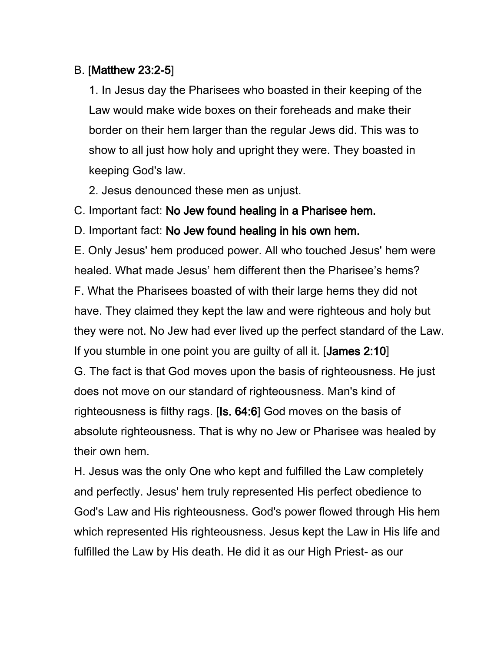#### B. [Matthew 23:2-5]

1. In Jesus day the Pharisees who boasted in their keeping of the Law would make wide boxes on their foreheads and make their border on their hem larger than the regular Jews did. This was to show to all just how holy and upright they were. They boasted in keeping God's law.

2. Jesus denounced these men as unjust.

C. Important fact: No Jew found healing in a Pharisee hem.

D. Important fact: No Jew found healing in his own hem.

E. Only Jesus' hem produced power. All who touched Jesus' hem were healed. What made Jesus' hem different then the Pharisee's hems? F. What the Pharisees boasted of with their large hems they did not have. They claimed they kept the law and were righteous and holy but they were not. No Jew had ever lived up the perfect standard of the Law. If you stumble in one point you are guilty of all it. [James 2:10] G. The fact is that God moves upon the basis of righteousness. He just does not move on our standard of righteousness. Man's kind of righteousness is filthy rags. [Is. 64:6] God moves on the basis of absolute righteousness. That is why no Jew or Pharisee was healed by their own hem.

H. Jesus was the only One who kept and fulfilled the Law completely and perfectly. Jesus' hem truly represented His perfect obedience to God's Law and His righteousness. God's power flowed through His hem which represented His righteousness. Jesus kept the Law in His life and fulfilled the Law by His death. He did it as our High Priest- as our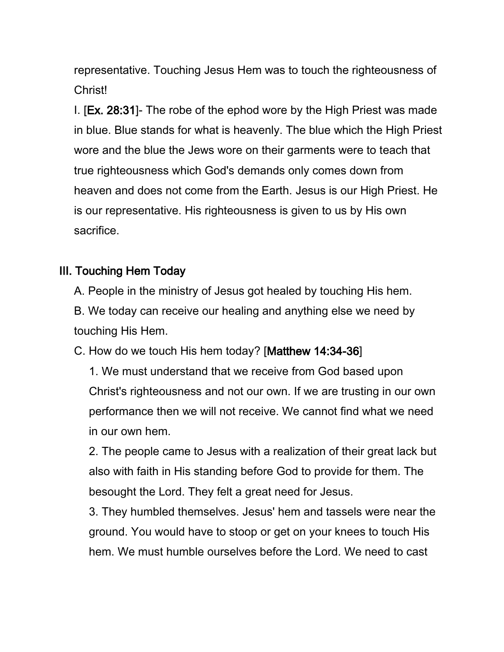representative. Touching Jesus Hem was to touch the righteousness of Christ!

I. [Ex. 28:31]- The robe of the ephod wore by the High Priest was made in blue. Blue stands for what is heavenly. The blue which the High Priest wore and the blue the Jews wore on their garments were to teach that true righteousness which God's demands only comes down from heaven and does not come from the Earth. Jesus is our High Priest. He is our representative. His righteousness is given to us by His own sacrifice.

#### III. Touching Hem Today

A. People in the ministry of Jesus got healed by touching His hem.

B. We today can receive our healing and anything else we need by touching His Hem.

C. How do we touch His hem today? [Matthew 14:34-36]

1. We must understand that we receive from God based upon Christ's righteousness and not our own. If we are trusting in our own performance then we will not receive. We cannot find what we need in our own hem.

2. The people came to Jesus with a realization of their great lack but also with faith in His standing before God to provide for them. The besought the Lord. They felt a great need for Jesus.

3. They humbled themselves. Jesus' hem and tassels were near the ground. You would have to stoop or get on your knees to touch His hem. We must humble ourselves before the Lord. We need to cast